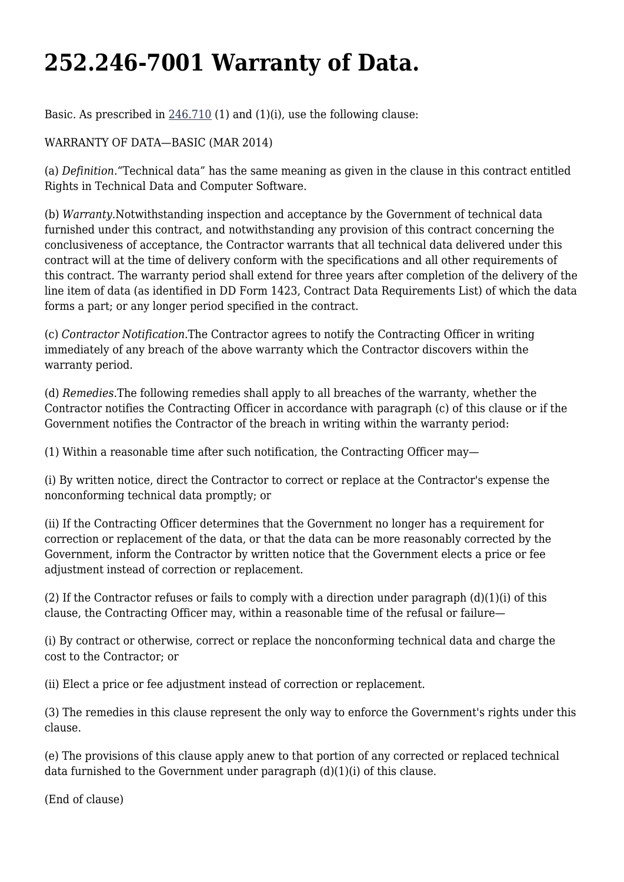## **252.246-7001 Warranty of Data.**

Basic. As prescribed in [246.710](https://www.acquisition.gov/dfars/246.710-contract-clauses.#DFARS_246.710) (1) and (1)(i), use the following clause:

## WARRANTY OF DATA—BASIC (MAR 2014)

(a) *Definition.*"Technical data" has the same meaning as given in the clause in this contract entitled Rights in Technical Data and Computer Software.

(b) *Warranty.*Notwithstanding inspection and acceptance by the Government of technical data furnished under this contract, and notwithstanding any provision of this contract concerning the conclusiveness of acceptance, the Contractor warrants that all technical data delivered under this contract will at the time of delivery conform with the specifications and all other requirements of this contract. The warranty period shall extend for three years after completion of the delivery of the line item of data (as identified in DD Form 1423, Contract Data Requirements List) of which the data forms a part; or any longer period specified in the contract.

(c) *Contractor Notification.*The Contractor agrees to notify the Contracting Officer in writing immediately of any breach of the above warranty which the Contractor discovers within the warranty period.

(d) *Remedies.*The following remedies shall apply to all breaches of the warranty, whether the Contractor notifies the Contracting Officer in accordance with paragraph (c) of this clause or if the Government notifies the Contractor of the breach in writing within the warranty period:

(1) Within a reasonable time after such notification, the Contracting Officer may—

(i) By written notice, direct the Contractor to correct or replace at the Contractor's expense the nonconforming technical data promptly; or

(ii) If the Contracting Officer determines that the Government no longer has a requirement for correction or replacement of the data, or that the data can be more reasonably corrected by the Government, inform the Contractor by written notice that the Government elects a price or fee adjustment instead of correction or replacement.

(2) If the Contractor refuses or fails to comply with a direction under paragraph  $(d)(1)(i)$  of this clause, the Contracting Officer may, within a reasonable time of the refusal or failure—

(i) By contract or otherwise, correct or replace the nonconforming technical data and charge the cost to the Contractor; or

(ii) Elect a price or fee adjustment instead of correction or replacement.

(3) The remedies in this clause represent the only way to enforce the Government's rights under this clause.

(e) The provisions of this clause apply anew to that portion of any corrected or replaced technical data furnished to the Government under paragraph  $(d)(1)(i)$  of this clause.

(End of clause)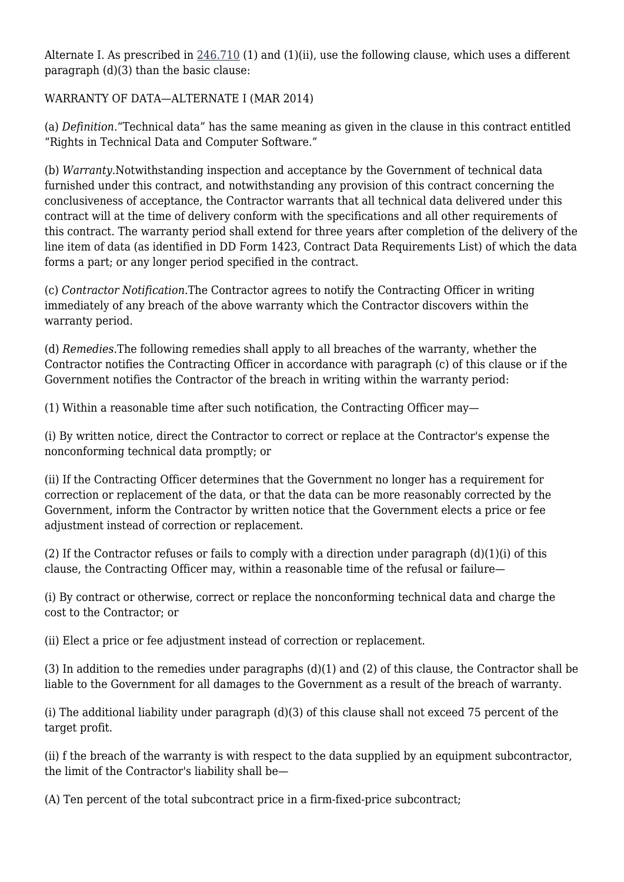Alternate I. As prescribed in [246.710](https://www.acquisition.gov/dfars/246.710-contract-clauses.#DFARS_246.710) (1) and (1)(ii), use the following clause, which uses a different paragraph (d)(3) than the basic clause:

WARRANTY OF DATA—ALTERNATE I (MAR 2014)

(a) *Definition.*"Technical data" has the same meaning as given in the clause in this contract entitled "Rights in Technical Data and Computer Software."

(b) *Warranty.*Notwithstanding inspection and acceptance by the Government of technical data furnished under this contract, and notwithstanding any provision of this contract concerning the conclusiveness of acceptance, the Contractor warrants that all technical data delivered under this contract will at the time of delivery conform with the specifications and all other requirements of this contract. The warranty period shall extend for three years after completion of the delivery of the line item of data (as identified in DD Form 1423, Contract Data Requirements List) of which the data forms a part; or any longer period specified in the contract.

(c) *Contractor Notification.*The Contractor agrees to notify the Contracting Officer in writing immediately of any breach of the above warranty which the Contractor discovers within the warranty period.

(d) *Remedies.*The following remedies shall apply to all breaches of the warranty, whether the Contractor notifies the Contracting Officer in accordance with paragraph (c) of this clause or if the Government notifies the Contractor of the breach in writing within the warranty period:

(1) Within a reasonable time after such notification, the Contracting Officer may—

(i) By written notice, direct the Contractor to correct or replace at the Contractor's expense the nonconforming technical data promptly; or

(ii) If the Contracting Officer determines that the Government no longer has a requirement for correction or replacement of the data, or that the data can be more reasonably corrected by the Government, inform the Contractor by written notice that the Government elects a price or fee adjustment instead of correction or replacement.

(2) If the Contractor refuses or fails to comply with a direction under paragraph  $(d)(1)(i)$  of this clause, the Contracting Officer may, within a reasonable time of the refusal or failure—

(i) By contract or otherwise, correct or replace the nonconforming technical data and charge the cost to the Contractor; or

(ii) Elect a price or fee adjustment instead of correction or replacement.

(3) In addition to the remedies under paragraphs (d)(1) and (2) of this clause, the Contractor shall be liable to the Government for all damages to the Government as a result of the breach of warranty.

(i) The additional liability under paragraph (d)(3) of this clause shall not exceed 75 percent of the target profit.

(ii) f the breach of the warranty is with respect to the data supplied by an equipment subcontractor, the limit of the Contractor's liability shall be—

(A) Ten percent of the total subcontract price in a firm-fixed-price subcontract;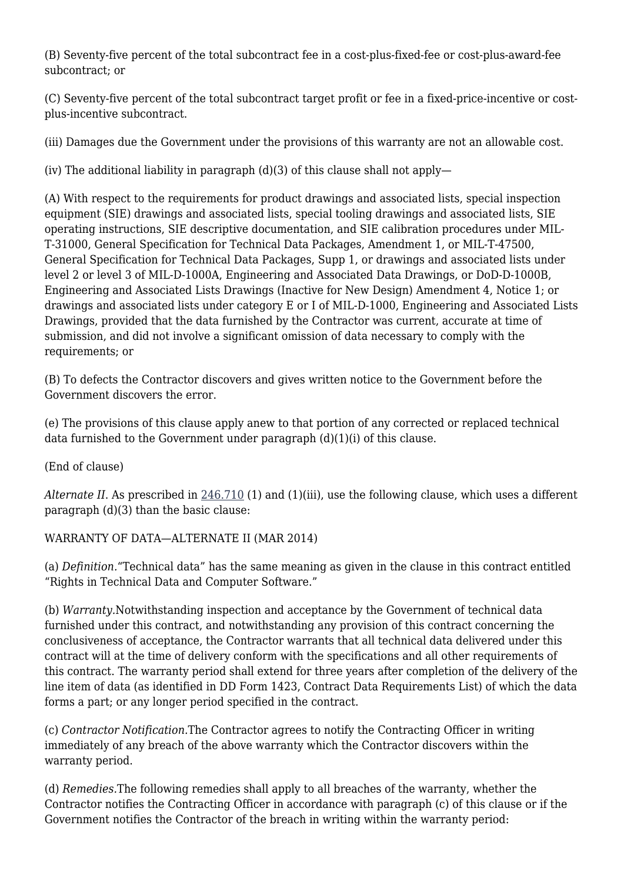(B) Seventy-five percent of the total subcontract fee in a cost-plus-fixed-fee or cost-plus-award-fee subcontract; or

(C) Seventy-five percent of the total subcontract target profit or fee in a fixed-price-incentive or costplus-incentive subcontract.

(iii) Damages due the Government under the provisions of this warranty are not an allowable cost.

(iv) The additional liability in paragraph  $(d)(3)$  of this clause shall not apply—

(A) With respect to the requirements for product drawings and associated lists, special inspection equipment (SIE) drawings and associated lists, special tooling drawings and associated lists, SIE operating instructions, SIE descriptive documentation, and SIE calibration procedures under MIL-T-31000, General Specification for Technical Data Packages, Amendment 1, or MIL-T-47500, General Specification for Technical Data Packages, Supp 1, or drawings and associated lists under level 2 or level 3 of MIL-D-1000A, Engineering and Associated Data Drawings, or DoD-D-1000B, Engineering and Associated Lists Drawings (Inactive for New Design) Amendment 4, Notice 1; or drawings and associated lists under category E or I of MIL-D-1000, Engineering and Associated Lists Drawings, provided that the data furnished by the Contractor was current, accurate at time of submission, and did not involve a significant omission of data necessary to comply with the requirements; or

(B) To defects the Contractor discovers and gives written notice to the Government before the Government discovers the error.

(e) The provisions of this clause apply anew to that portion of any corrected or replaced technical data furnished to the Government under paragraph  $(d)(1)(i)$  of this clause.

(End of clause)

*Alternate II*. As prescribed in [246.710](https://www.acquisition.gov/dfars/246.710-contract-clauses.#DFARS_246.710) (1) and (1)(iii), use the following clause, which uses a different paragraph (d)(3) than the basic clause:

## WARRANTY OF DATA—ALTERNATE II (MAR 2014)

(a) *Definition.*"Technical data" has the same meaning as given in the clause in this contract entitled "Rights in Technical Data and Computer Software."

(b) *Warranty.*Notwithstanding inspection and acceptance by the Government of technical data furnished under this contract, and notwithstanding any provision of this contract concerning the conclusiveness of acceptance, the Contractor warrants that all technical data delivered under this contract will at the time of delivery conform with the specifications and all other requirements of this contract. The warranty period shall extend for three years after completion of the delivery of the line item of data (as identified in DD Form 1423, Contract Data Requirements List) of which the data forms a part; or any longer period specified in the contract.

(c) *Contractor Notification.*The Contractor agrees to notify the Contracting Officer in writing immediately of any breach of the above warranty which the Contractor discovers within the warranty period.

(d) *Remedies.*The following remedies shall apply to all breaches of the warranty, whether the Contractor notifies the Contracting Officer in accordance with paragraph (c) of this clause or if the Government notifies the Contractor of the breach in writing within the warranty period: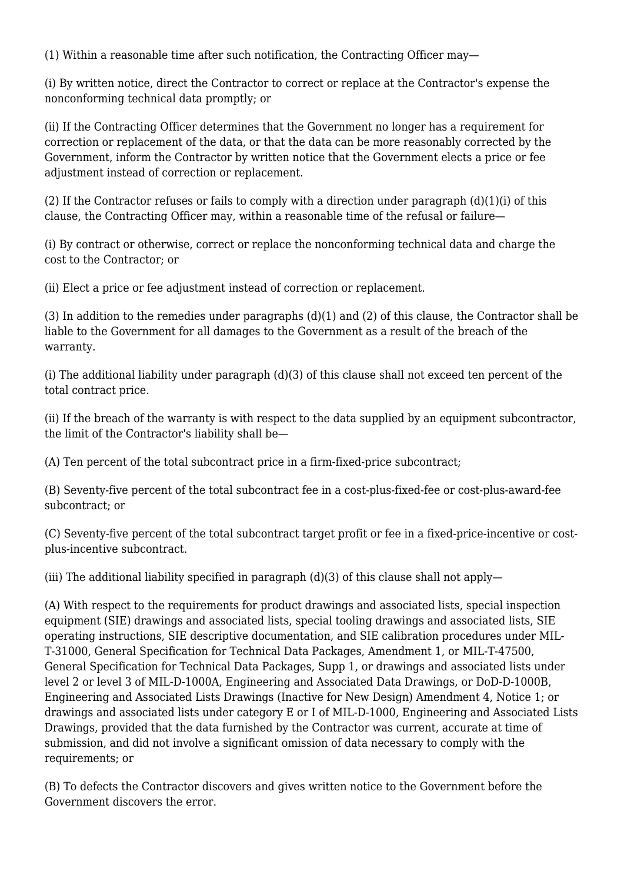(1) Within a reasonable time after such notification, the Contracting Officer may—

(i) By written notice, direct the Contractor to correct or replace at the Contractor's expense the nonconforming technical data promptly; or

(ii) If the Contracting Officer determines that the Government no longer has a requirement for correction or replacement of the data, or that the data can be more reasonably corrected by the Government, inform the Contractor by written notice that the Government elects a price or fee adjustment instead of correction or replacement.

(2) If the Contractor refuses or fails to comply with a direction under paragraph  $(d)(1)(i)$  of this clause, the Contracting Officer may, within a reasonable time of the refusal or failure—

(i) By contract or otherwise, correct or replace the nonconforming technical data and charge the cost to the Contractor; or

(ii) Elect a price or fee adjustment instead of correction or replacement.

(3) In addition to the remedies under paragraphs (d)(1) and (2) of this clause, the Contractor shall be liable to the Government for all damages to the Government as a result of the breach of the warranty.

(i) The additional liability under paragraph (d)(3) of this clause shall not exceed ten percent of the total contract price.

(ii) If the breach of the warranty is with respect to the data supplied by an equipment subcontractor, the limit of the Contractor's liability shall be—

(A) Ten percent of the total subcontract price in a firm-fixed-price subcontract;

(B) Seventy-five percent of the total subcontract fee in a cost-plus-fixed-fee or cost-plus-award-fee subcontract; or

(C) Seventy-five percent of the total subcontract target profit or fee in a fixed-price-incentive or costplus-incentive subcontract.

(iii) The additional liability specified in paragraph  $(d)(3)$  of this clause shall not apply—

(A) With respect to the requirements for product drawings and associated lists, special inspection equipment (SIE) drawings and associated lists, special tooling drawings and associated lists, SIE operating instructions, SIE descriptive documentation, and SIE calibration procedures under MIL-T-31000, General Specification for Technical Data Packages, Amendment 1, or MIL-T-47500, General Specification for Technical Data Packages, Supp 1, or drawings and associated lists under level 2 or level 3 of MIL-D-1000A, Engineering and Associated Data Drawings, or DoD-D-1000B, Engineering and Associated Lists Drawings (Inactive for New Design) Amendment 4, Notice 1; or drawings and associated lists under category E or I of MIL-D-1000, Engineering and Associated Lists Drawings, provided that the data furnished by the Contractor was current, accurate at time of submission, and did not involve a significant omission of data necessary to comply with the requirements; or

(B) To defects the Contractor discovers and gives written notice to the Government before the Government discovers the error.